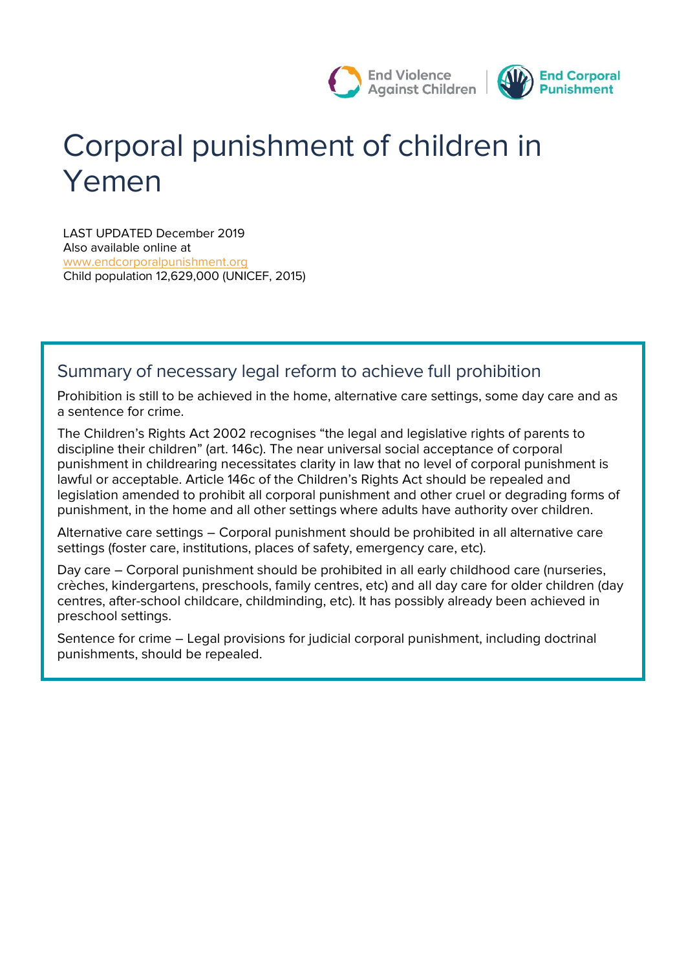

# **Corporal punishment of children in Yemen**

LAST UPDATED December 2019 Also available online at [www.endcorporalpunishment.org](http://www.endcorporalpunishment.org/) **Child population** 12,629,000 (UNICEF, 2015)

# **Summary of necessary legal reform to achieve full prohibition**

Prohibition is still to be achieved in the home, alternative care settings, some day care and as a sentence for crime.

The Children's Rights Act 2002 recognises "the legal and legislative rights of parents to discipline their children" (art. 146c). The near universal social acceptance of corporal punishment in childrearing necessitates clarity in law that no level of corporal punishment is lawful or acceptable. Article 146c of the Children's Rights Act should be repealed and legislation amended to prohibit all corporal punishment and other cruel or degrading forms of punishment, in the home and all other settings where adults have authority over children.

*Alternative care settings* – Corporal punishment should be prohibited in all alternative care settings (foster care, institutions, places of safety, emergency care, etc).

*Day care* – Corporal punishment should be prohibited in all early childhood care (nurseries, crèches, kindergartens, preschools, family centres, etc) and all day care for older children (day centres, after-school childcare, childminding, etc). It has possibly already been achieved in preschool settings.

*Sentence for crime* – Legal provisions for judicial corporal punishment, including doctrinal punishments, should be repealed.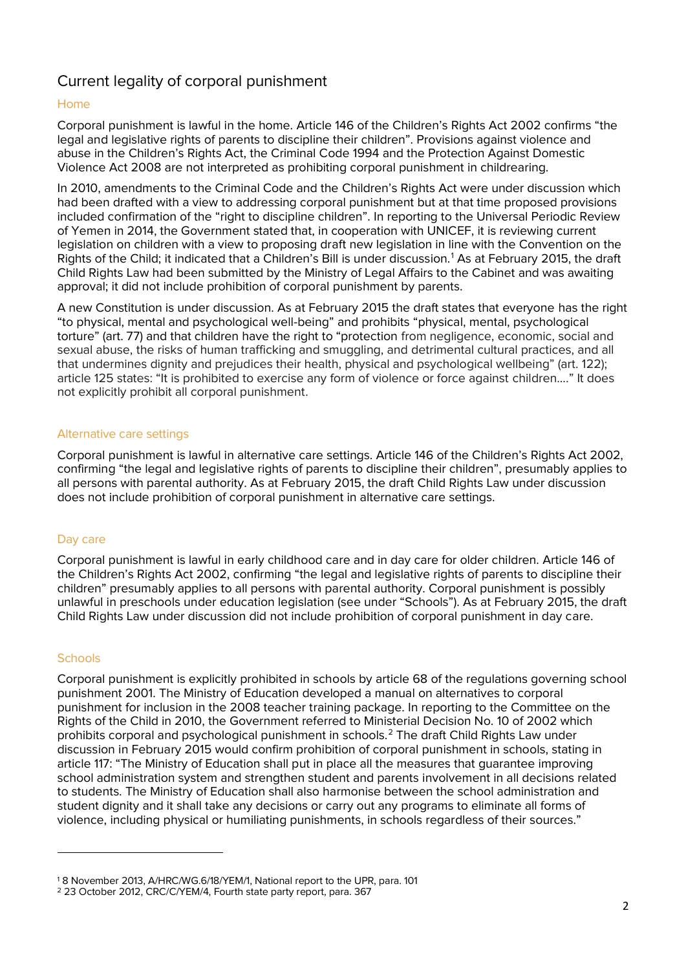# **Current legality of corporal punishment**

### **Home**

Corporal punishment is lawful in the home. Article 146 of the Children's Rights Act 2002 confirms "the legal and legislative rights of parents to discipline their children". Provisions against violence and abuse in the Children's Rights Act, the Criminal Code 1994 and the Protection Against Domestic Violence Act 2008 are not interpreted as prohibiting corporal punishment in childrearing.

In 2010, amendments to the Criminal Code and the Children's Rights Act were under discussion which had been drafted with a view to addressing corporal punishment but at that time proposed provisions included confirmation of the "right to discipline children". In reporting to the Universal Periodic Review of Yemen in 2014, the Government stated that, in cooperation with UNICEF, it is reviewing current legislation on children with a view to proposing draft new legislation in line with the Convention on the Rights of the Child; it indicated that a Children's Bill is under discussion.<sup>1</sup> As at February 2015, the draft Child Rights Law had been submitted by the Ministry of Legal Affairs to the Cabinet and was awaiting approval; it did not include prohibition of corporal punishment by parents.

A new Constitution is under discussion. As at February 2015 the draft states that everyone has the right "to physical, mental and psychological well-being" and prohibits "physical, mental, psychological torture" (art. 77) and that children have the right to "protection from negligence, economic, social and sexual abuse, the risks of human trafficking and smuggling, and detrimental cultural practices, and all that undermines dignity and prejudices their health, physical and psychological wellbeing" (art. 122); article 125 states: "It is prohibited to exercise any form of violence or force against children…." It does not explicitly prohibit all corporal punishment.

#### **Alternative care settings**

Corporal punishment is lawful in alternative care settings. Article 146 of the Children's Rights Act 2002, confirming "the legal and legislative rights of parents to discipline their children", presumably applies to all persons with parental authority. As at February 2015, the draft Child Rights Law under discussion does not include prohibition of corporal punishment in alternative care settings.

#### **Day care**

Corporal punishment is lawful in early childhood care and in day care for older children. Article 146 of the Children's Rights Act 2002, confirming "the legal and legislative rights of parents to discipline their children" presumably applies to all persons with parental authority. Corporal punishment is possibly unlawful in preschools under education legislation (see under "Schools"). As at February 2015, the draft Child Rights Law under discussion did not include prohibition of corporal punishment in day care.

#### **Schools**

 $\overline{a}$ 

Corporal punishment is explicitly prohibited in schools by article 68 of the regulations governing school punishment 2001. The Ministry of Education developed a manual on alternatives to corporal punishment for inclusion in the 2008 teacher training package. In reporting to the Committee on the Rights of the Child in 2010, the Government referred to Ministerial Decision No. 10 of 2002 which prohibits corporal and psychological punishment in schools.<sup>2</sup> The draft Child Rights Law under discussion in February 2015 would confirm prohibition of corporal punishment in schools, stating in article 117: "The Ministry of Education shall put in place all the measures that guarantee improving school administration system and strengthen student and parents involvement in all decisions related to students. The Ministry of Education shall also harmonise between the school administration and student dignity and it shall take any decisions or carry out any programs to eliminate all forms of violence, including physical or humiliating punishments, in schools regardless of their sources."

<sup>1</sup> 8 November 2013, A/HRC/WG.6/18/YEM/1, National report to the UPR, para. 101

<sup>2</sup> 23 October 2012, CRC/C/YEM/4, Fourth state party report, para. 367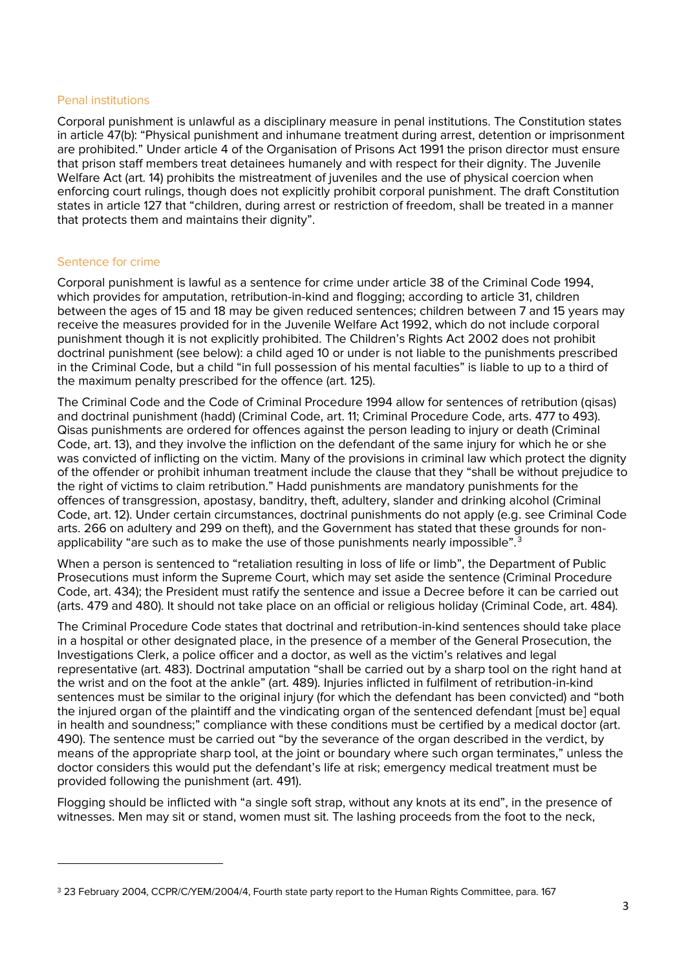#### **Penal institutions**

Corporal punishment is unlawful as a disciplinary measure in penal institutions. The Constitution states in article 47(b): "Physical punishment and inhumane treatment during arrest, detention or imprisonment are prohibited." Under article 4 of the Organisation of Prisons Act 1991 the prison director must ensure that prison staff members treat detainees humanely and with respect for their dignity. The Juvenile Welfare Act (art. 14) prohibits the mistreatment of juveniles and the use of physical coercion when enforcing court rulings, though does not explicitly prohibit corporal punishment. The draft Constitution states in article 127 that "children, during arrest or restriction of freedom, shall be treated in a manner that protects them and maintains their dignity".

#### **Sentence for crime**

 $\overline{a}$ 

Corporal punishment is lawful as a sentence for crime under article 38 of the Criminal Code 1994, which provides for amputation, retribution-in-kind and flogging; according to article 31, children between the ages of 15 and 18 may be given reduced sentences; children between 7 and 15 years may receive the measures provided for in the Juvenile Welfare Act 1992, which do not include corporal punishment though it is not explicitly prohibited. The Children's Rights Act 2002 does not prohibit doctrinal punishment (see below): a child aged 10 or under is not liable to the punishments prescribed in the Criminal Code, but a child "in full possession of his mental faculties" is liable to up to a third of the maximum penalty prescribed for the offence (art. 125).

The Criminal Code and the Code of Criminal Procedure 1994 allow for sentences of retribution (*qisas*) and doctrinal punishment (*hadd*) (Criminal Code, art. 11; Criminal Procedure Code, arts. 477 to 493). *Qisas* punishments are ordered for offences against the person leading to injury or death (Criminal Code, art. 13), and they involve the infliction on the defendant of the same injury for which he or she was convicted of inflicting on the victim. Many of the provisions in criminal law which protect the dignity of the offender or prohibit inhuman treatment include the clause that they "shall be without prejudice to the right of victims to claim retribution." *Hadd* punishments are mandatory punishments for the offences of transgression, apostasy, banditry, theft, adultery, slander and drinking alcohol (Criminal Code, art. 12). Under certain circumstances, doctrinal punishments do not apply (e.g. see Criminal Code arts. 266 on adultery and 299 on theft), and the Government has stated that these grounds for nonapplicability "are such as to make the use of those punishments nearly impossible". $3$ 

When a person is sentenced to "retaliation resulting in loss of life or limb", the Department of Public Prosecutions must inform the Supreme Court, which may set aside the sentence (Criminal Procedure Code, art. 434); the President must ratify the sentence and issue a Decree before it can be carried out (arts. 479 and 480). It should not take place on an official or religious holiday (Criminal Code, art. 484).

The Criminal Procedure Code states that doctrinal and retribution-in-kind sentences should take place in a hospital or other designated place, in the presence of a member of the General Prosecution, the Investigations Clerk, a police officer and a doctor, as well as the victim's relatives and legal representative (art. 483). Doctrinal amputation "shall be carried out by a sharp tool on the right hand at the wrist and on the foot at the ankle" (art. 489). Injuries inflicted in fulfilment of retribution-in-kind sentences must be similar to the original injury (for which the defendant has been convicted) and "both the injured organ of the plaintiff and the vindicating organ of the sentenced defendant [must be] equal in health and soundness;" compliance with these conditions must be certified by a medical doctor (art. 490). The sentence must be carried out "by the severance of the organ described in the verdict, by means of the appropriate sharp tool, at the joint or boundary where such organ terminates," unless the doctor considers this would put the defendant's life at risk; emergency medical treatment must be provided following the punishment (art. 491).

Flogging should be inflicted with "a single soft strap, without any knots at its end", in the presence of witnesses. Men may sit or stand, women must sit. The lashing proceeds from the foot to the neck,

<sup>3</sup> 23 February 2004, CCPR/C/YEM/2004/4, Fourth state party report to the Human Rights Committee, para. 167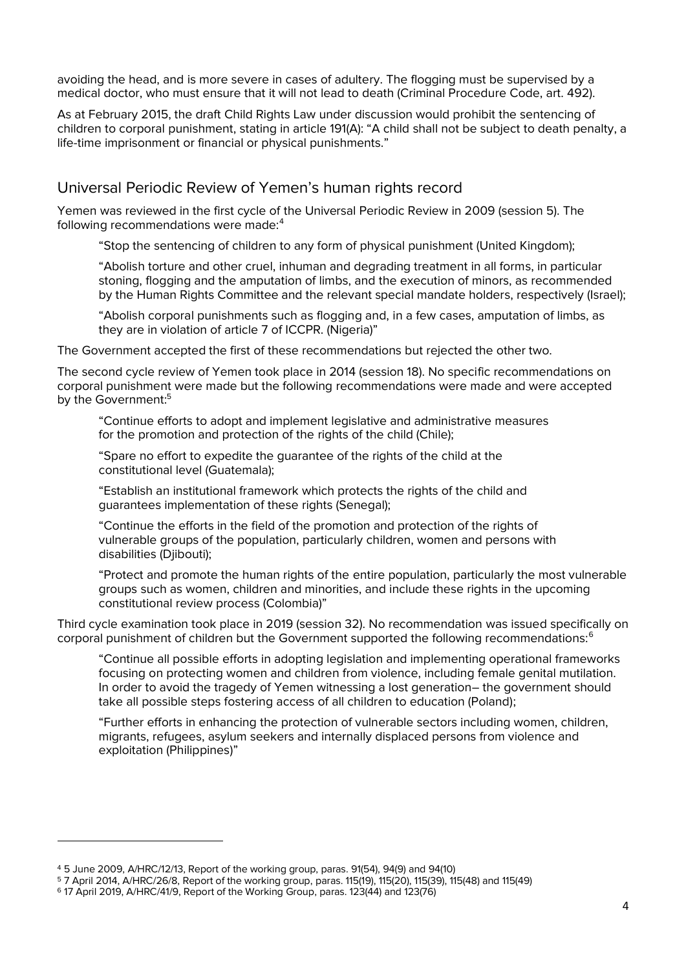avoiding the head, and is more severe in cases of adultery. The flogging must be supervised by a medical doctor, who must ensure that it will not lead to death (Criminal Procedure Code, art. 492).

As at February 2015, the draft Child Rights Law under discussion would prohibit the sentencing of children to corporal punishment, stating in article 191(A): "A child shall not be subject to death penalty, a life-time imprisonment or financial or physical punishments."

# **Universal Periodic Review of Yemen's human rights record**

Yemen was reviewed in the first cycle of the Universal Periodic Review in 2009 (session 5). The following recommendations were made:<sup>4</sup>

"Stop the sentencing of children to any form of physical punishment (United Kingdom);

"Abolish torture and other cruel, inhuman and degrading treatment in all forms, in particular stoning, flogging and the amputation of limbs, and the execution of minors, as recommended by the Human Rights Committee and the relevant special mandate holders, respectively (Israel);

"Abolish corporal punishments such as flogging and, in a few cases, amputation of limbs, as they are in violation of article 7 of ICCPR. (Nigeria)"

The Government accepted the first of these recommendations but rejected the other two.

The second cycle review of Yemen took place in 2014 (session 18). No specific recommendations on corporal punishment were made but the following recommendations were made and were accepted by the Government:<sup>5</sup>

"Continue efforts to adopt and implement legislative and administrative measures for the promotion and protection of the rights of the child (Chile);

"Spare no effort to expedite the guarantee of the rights of the child at the constitutional level (Guatemala);

"Establish an institutional framework which protects the rights of the child and guarantees implementation of these rights (Senegal);

"Continue the efforts in the field of the promotion and protection of the rights of vulnerable groups of the population, particularly children, women and persons with disabilities (Djibouti);

"Protect and promote the human rights of the entire population, particularly the most vulnerable groups such as women, children and minorities, and include these rights in the upcoming constitutional review process (Colombia)"

Third cycle examination took place in 2019 (session 32). No recommendation was issued specifically on corporal punishment of children but the Government supported the following recommendations:<sup>6</sup>

"Continue all possible efforts in adopting legislation and implementing operational frameworks focusing on protecting women and children from violence, including female genital mutilation. In order to avoid the tragedy of Yemen witnessing a lost generation– the government should take all possible steps fostering access of all children to education (Poland);

"Further efforts in enhancing the protection of vulnerable sectors including women, children, migrants, refugees, asylum seekers and internally displaced persons from violence and exploitation (Philippines)"

 $\overline{a}$ 

<sup>4</sup> 5 June 2009, A/HRC/12/13, Report of the working group, paras. 91(54), 94(9) and 94(10)

<sup>5</sup> 7 April 2014, A/HRC/26/8, Report of the working group, paras. 115(19), 115(20), 115(39), 115(48) and 115(49)

<sup>6</sup> 17 April 2019, A/HRC/41/9, Report of the Working Group, paras. 123(44) and 123(76)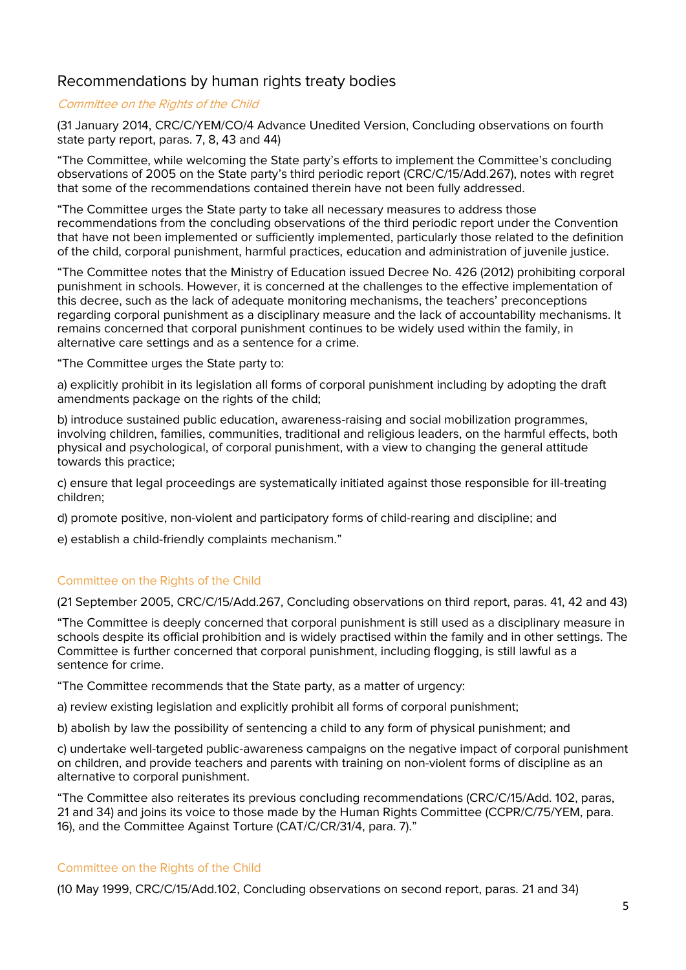# **Recommendations by human rights treaty bodies**

#### **Committee on the Rights of the Child**

(31 January 2014, CRC/C/YEM/CO/4 Advance Unedited Version, Concluding observations on fourth state party report, paras. 7, 8, 43 and 44)

"The Committee, while welcoming the State party's efforts to implement the Committee's concluding observations of 2005 on the State party's third periodic report (CRC/C/15/Add.267), notes with regret that some of the recommendations contained therein have not been fully addressed.

"The Committee urges the State party to take all necessary measures to address those recommendations from the concluding observations of the third periodic report under the Convention that have not been implemented or sufficiently implemented, particularly those related to the definition of the child, corporal punishment, harmful practices, education and administration of juvenile justice.

"The Committee notes that the Ministry of Education issued Decree No. 426 (2012) prohibiting corporal punishment in schools. However, it is concerned at the challenges to the effective implementation of this decree, such as the lack of adequate monitoring mechanisms, the teachers' preconceptions regarding corporal punishment as a disciplinary measure and the lack of accountability mechanisms. It remains concerned that corporal punishment continues to be widely used within the family, in alternative care settings and as a sentence for a crime.

"The Committee urges the State party to:

a) explicitly prohibit in its legislation all forms of corporal punishment including by adopting the draft amendments package on the rights of the child;

b) introduce sustained public education, awareness-raising and social mobilization programmes, involving children, families, communities, traditional and religious leaders, on the harmful effects, both physical and psychological, of corporal punishment, with a view to changing the general attitude towards this practice;

c) ensure that legal proceedings are systematically initiated against those responsible for ill-treating children;

d) promote positive, non-violent and participatory forms of child-rearing and discipline; and

e) establish a child-friendly complaints mechanism."

#### *Committee on the Rights of the Child*

(21 September 2005, CRC/C/15/Add.267, Concluding observations on third report, paras. 41, 42 and 43)

"The Committee is deeply concerned that corporal punishment is still used as a disciplinary measure in schools despite its official prohibition and is widely practised within the family and in other settings. The Committee is further concerned that corporal punishment, including flogging, is still lawful as a sentence for crime.

"The Committee recommends that the State party, as a matter of urgency:

a) review existing legislation and explicitly prohibit all forms of corporal punishment;

b) abolish by law the possibility of sentencing a child to any form of physical punishment; and

c) undertake well-targeted public-awareness campaigns on the negative impact of corporal punishment on children, and provide teachers and parents with training on non-violent forms of discipline as an alternative to corporal punishment.

"The Committee also reiterates its previous concluding recommendations (CRC/C/15/Add. 102, paras, 21 and 34) and joins its voice to those made by the Human Rights Committee (CCPR/C/75/YEM, para. 16), and the Committee Against Torture (CAT/C/CR/31/4, para. 7)."

#### *Committee on the Rights of the Child*

(10 May 1999, CRC/C/15/Add.102, Concluding observations on second report, paras. 21 and 34)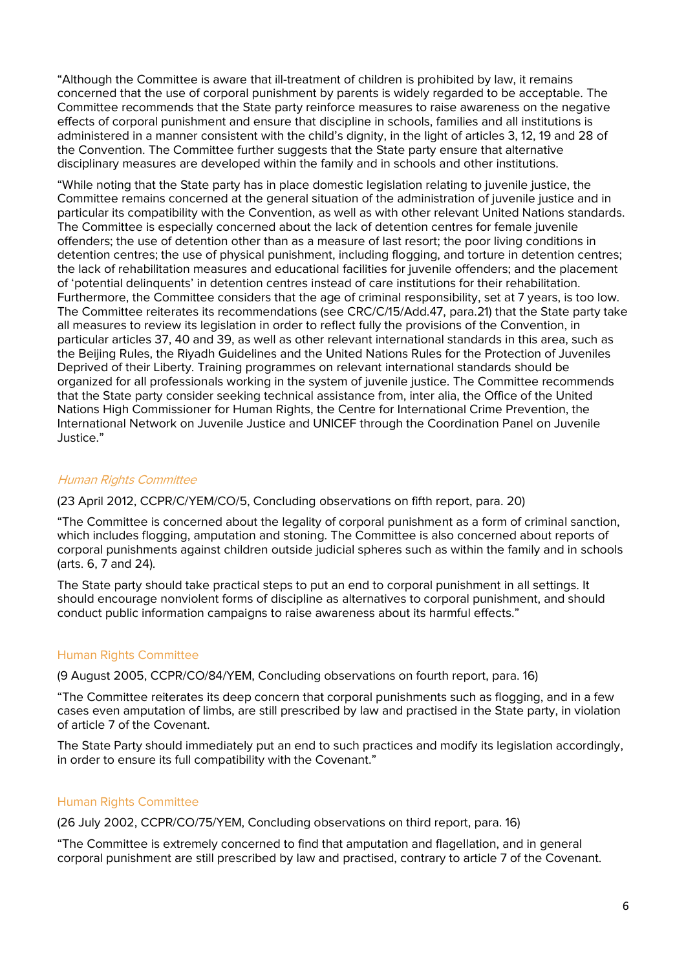"Although the Committee is aware that ill-treatment of children is prohibited by law, it remains concerned that the use of corporal punishment by parents is widely regarded to be acceptable. The Committee recommends that the State party reinforce measures to raise awareness on the negative effects of corporal punishment and ensure that discipline in schools, families and all institutions is administered in a manner consistent with the child's dignity, in the light of articles 3, 12, 19 and 28 of the Convention. The Committee further suggests that the State party ensure that alternative disciplinary measures are developed within the family and in schools and other institutions.

"While noting that the State party has in place domestic legislation relating to juvenile justice, the Committee remains concerned at the general situation of the administration of juvenile justice and in particular its compatibility with the Convention, as well as with other relevant United Nations standards. The Committee is especially concerned about the lack of detention centres for female juvenile offenders; the use of detention other than as a measure of last resort; the poor living conditions in detention centres; the use of physical punishment, including flogging, and torture in detention centres; the lack of rehabilitation measures and educational facilities for juvenile offenders; and the placement of 'potential delinquents' in detention centres instead of care institutions for their rehabilitation. Furthermore, the Committee considers that the age of criminal responsibility, set at 7 years, is too low. The Committee reiterates its recommendations (see CRC/C/15/Add.47, para.21) that the State party take all measures to review its legislation in order to reflect fully the provisions of the Convention, in particular articles 37, 40 and 39, as well as other relevant international standards in this area, such as the Beijing Rules, the Riyadh Guidelines and the United Nations Rules for the Protection of Juveniles Deprived of their Liberty. Training programmes on relevant international standards should be organized for all professionals working in the system of juvenile justice. The Committee recommends that the State party consider seeking technical assistance from, inter alia, the Office of the United Nations High Commissioner for Human Rights, the Centre for International Crime Prevention, the International Network on Juvenile Justice and UNICEF through the Coordination Panel on Juvenile Justice."

#### **Human Rights Committee**

(23 April 2012, CCPR/C/YEM/CO/5, Concluding observations on fifth report, para. 20)

"The Committee is concerned about the legality of corporal punishment as a form of criminal sanction, which includes flogging, amputation and stoning. The Committee is also concerned about reports of corporal punishments against children outside judicial spheres such as within the family and in schools (arts. 6, 7 and 24).

The State party should take practical steps to put an end to corporal punishment in all settings. It should encourage nonviolent forms of discipline as alternatives to corporal punishment, and should conduct public information campaigns to raise awareness about its harmful effects."

#### *Human Rights Committee*

(9 August 2005, CCPR/CO/84/YEM, Concluding observations on fourth report, para. 16)

"The Committee reiterates its deep concern that corporal punishments such as flogging, and in a few cases even amputation of limbs, are still prescribed by law and practised in the State party, in violation of article 7 of the Covenant.

The State Party should immediately put an end to such practices and modify its legislation accordingly, in order to ensure its full compatibility with the Covenant."

#### *Human Rights Committee*

(26 July 2002, CCPR/CO/75/YEM, Concluding observations on third report, para. 16)

"The Committee is extremely concerned to find that amputation and flagellation, and in general corporal punishment are still prescribed by law and practised, contrary to article 7 of the Covenant.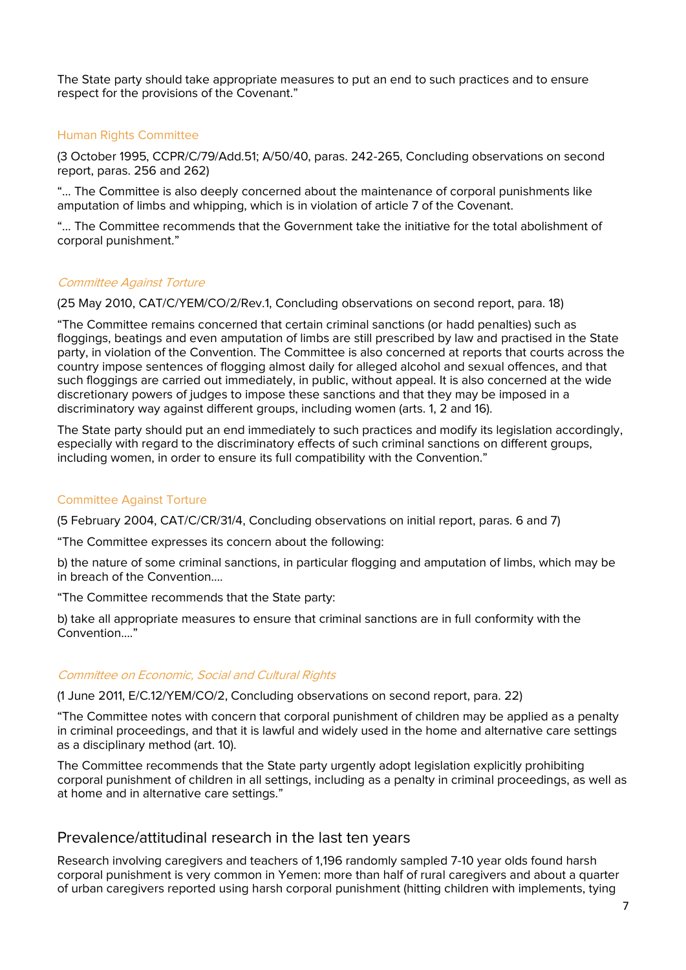The State party should take appropriate measures to put an end to such practices and to ensure respect for the provisions of the Covenant."

## *Human Rights Committee*

(3 October 1995, CCPR/C/79/Add.51; A/50/40, paras. 242-265, Concluding observations on second report, paras. 256 and 262)

"… The Committee is also deeply concerned about the maintenance of corporal punishments like amputation of limbs and whipping, which is in violation of article 7 of the Covenant.

"… The Committee recommends that the Government take the initiative for the total abolishment of corporal punishment."

#### **Committee Against Torture**

(25 May 2010, CAT/C/YEM/CO/2/Rev.1, Concluding observations on second report, para. 18)

"The Committee remains concerned that certain criminal sanctions (or *hadd* penalties) such as floggings, beatings and even amputation of limbs are still prescribed by law and practised in the State party, in violation of the Convention. The Committee is also concerned at reports that courts across the country impose sentences of flogging almost daily for alleged alcohol and sexual offences, and that such floggings are carried out immediately, in public, without appeal. It is also concerned at the wide discretionary powers of judges to impose these sanctions and that they may be imposed in a discriminatory way against different groups, including women (arts. 1, 2 and 16).

The State party should put an end immediately to such practices and modify its legislation accordingly, especially with regard to the discriminatory effects of such criminal sanctions on different groups, including women, in order to ensure its full compatibility with the Convention."

## *Committee Against Torture*

(5 February 2004, CAT/C/CR/31/4, Concluding observations on initial report, paras. 6 and 7)

"The Committee expresses its concern about the following:

b) the nature of some criminal sanctions, in particular flogging and amputation of limbs, which may be in breach of the Convention….

"The Committee recommends that the State party:

b) take all appropriate measures to ensure that criminal sanctions are in full conformity with the Convention…."

#### **Committee on Economic, Social and Cultural Rights**

(1 June 2011, E/C.12/YEM/CO/2, Concluding observations on second report, para. 22)

"The Committee notes with concern that corporal punishment of children may be applied as a penalty in criminal proceedings, and that it is lawful and widely used in the home and alternative care settings as a disciplinary method (art. 10).

The Committee recommends that the State party urgently adopt legislation explicitly prohibiting corporal punishment of children in all settings, including as a penalty in criminal proceedings, as well as at home and in alternative care settings."

## **Prevalence/attitudinal research in the last ten years**

Research involving caregivers and teachers of 1,196 randomly sampled 7-10 year olds found harsh corporal punishment is very common in Yemen: more than half of rural caregivers and about a quarter of urban caregivers reported using harsh corporal punishment (hitting children with implements, tying